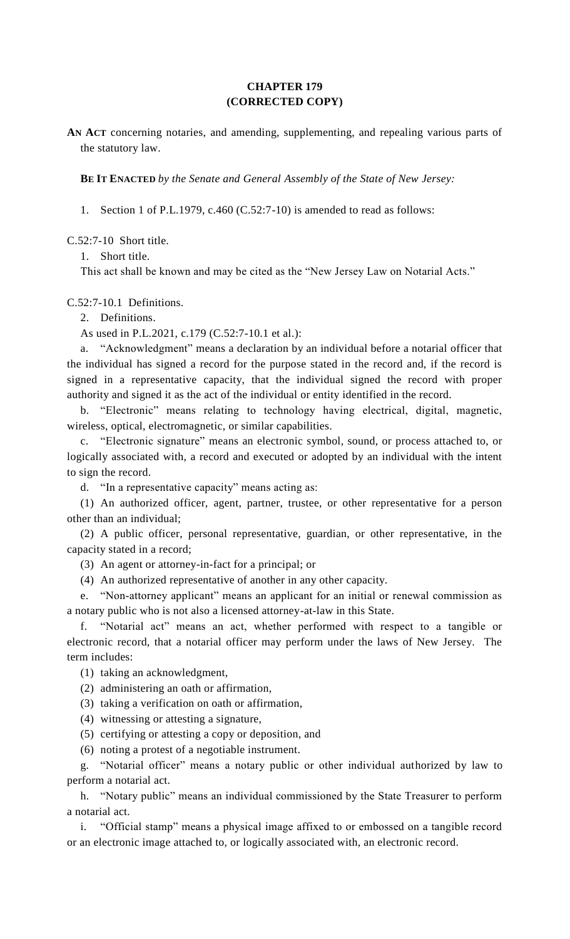## **CHAPTER 179 (CORRECTED COPY)**

**AN ACT** concerning notaries, and amending, supplementing, and repealing various parts of the statutory law.

**BE IT ENACTED** *by the Senate and General Assembly of the State of New Jersey:*

1. Section 1 of P.L.1979, c.460 (C.52:7-10) is amended to read as follows:

C.52:7-10 Short title.

1. Short title.

This act shall be known and may be cited as the "New Jersey Law on Notarial Acts."

C.52:7-10.1 Definitions.

2. Definitions.

As used in P.L.2021, c.179 (C.52:7-10.1 et al.):

a. "Acknowledgment" means a declaration by an individual before a notarial officer that the individual has signed a record for the purpose stated in the record and, if the record is signed in a representative capacity, that the individual signed the record with proper authority and signed it as the act of the individual or entity identified in the record.

b. "Electronic" means relating to technology having electrical, digital, magnetic, wireless, optical, electromagnetic, or similar capabilities.

c. "Electronic signature" means an electronic symbol, sound, or process attached to, or logically associated with, a record and executed or adopted by an individual with the intent to sign the record.

d. "In a representative capacity" means acting as:

(1) An authorized officer, agent, partner, trustee, or other representative for a person other than an individual;

(2) A public officer, personal representative, guardian, or other representative, in the capacity stated in a record;

(3) An agent or attorney-in-fact for a principal; or

(4) An authorized representative of another in any other capacity.

e. "Non-attorney applicant" means an applicant for an initial or renewal commission as a notary public who is not also a licensed attorney-at-law in this State.

f. "Notarial act" means an act, whether performed with respect to a tangible or electronic record, that a notarial officer may perform under the laws of New Jersey. The term includes:

(1) taking an acknowledgment,

(2) administering an oath or affirmation,

(3) taking a verification on oath or affirmation,

(4) witnessing or attesting a signature,

(5) certifying or attesting a copy or deposition, and

(6) noting a protest of a negotiable instrument.

g. "Notarial officer" means a notary public or other individual authorized by law to perform a notarial act.

h. "Notary public" means an individual commissioned by the State Treasurer to perform a notarial act.

i. "Official stamp" means a physical image affixed to or embossed on a tangible record or an electronic image attached to, or logically associated with, an electronic record.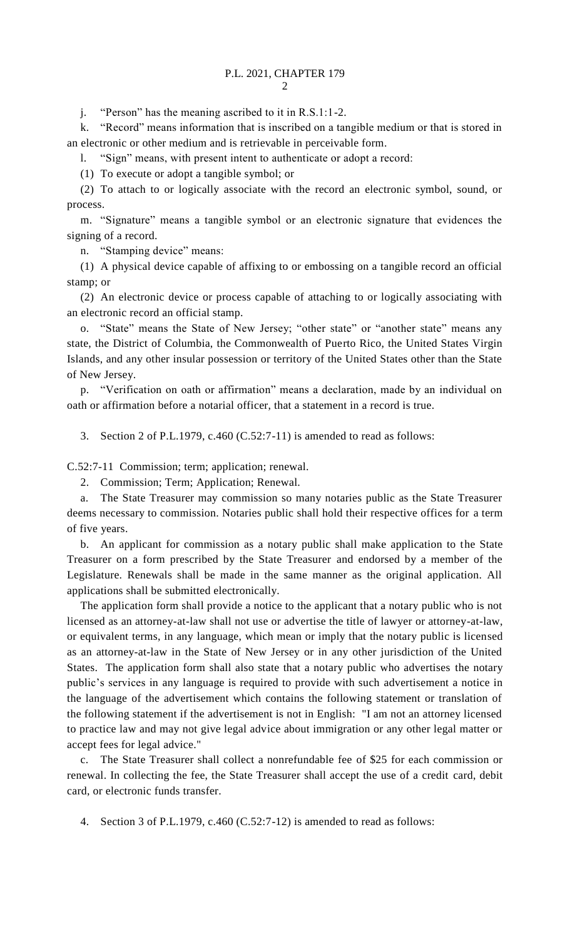j. "Person" has the meaning ascribed to it in R.S.1:1-2.

k. "Record" means information that is inscribed on a tangible medium or that is stored in an electronic or other medium and is retrievable in perceivable form.

l. "Sign" means, with present intent to authenticate or adopt a record:

(1) To execute or adopt a tangible symbol; or

(2) To attach to or logically associate with the record an electronic symbol, sound, or process.

m. "Signature" means a tangible symbol or an electronic signature that evidences the signing of a record.

n. "Stamping device" means:

(1) A physical device capable of affixing to or embossing on a tangible record an official stamp; or

(2) An electronic device or process capable of attaching to or logically associating with an electronic record an official stamp.

o. "State" means the State of New Jersey; "other state" or "another state" means any state, the District of Columbia, the Commonwealth of Puerto Rico, the United States Virgin Islands, and any other insular possession or territory of the United States other than the State of New Jersey.

p. "Verification on oath or affirmation" means a declaration, made by an individual on oath or affirmation before a notarial officer, that a statement in a record is true.

3. Section 2 of P.L.1979, c.460 (C.52:7-11) is amended to read as follows:

C.52:7-11 Commission; term; application; renewal.

2. Commission; Term; Application; Renewal.

a. The State Treasurer may commission so many notaries public as the State Treasurer deems necessary to commission. Notaries public shall hold their respective offices for a term of five years.

b. An applicant for commission as a notary public shall make application to the State Treasurer on a form prescribed by the State Treasurer and endorsed by a member of the Legislature. Renewals shall be made in the same manner as the original application. All applications shall be submitted electronically.

The application form shall provide a notice to the applicant that a notary public who is not licensed as an attorney-at-law shall not use or advertise the title of lawyer or attorney-at-law, or equivalent terms, in any language, which mean or imply that the notary public is licensed as an attorney-at-law in the State of New Jersey or in any other jurisdiction of the United States. The application form shall also state that a notary public who advertises the notary public's services in any language is required to provide with such advertisement a notice in the language of the advertisement which contains the following statement or translation of the following statement if the advertisement is not in English: "I am not an attorney licensed to practice law and may not give legal advice about immigration or any other legal matter or accept fees for legal advice."

The State Treasurer shall collect a nonrefundable fee of \$25 for each commission or renewal. In collecting the fee, the State Treasurer shall accept the use of a credit card, debit card, or electronic funds transfer.

4. Section 3 of P.L.1979, c.460 (C.52:7-12) is amended to read as follows: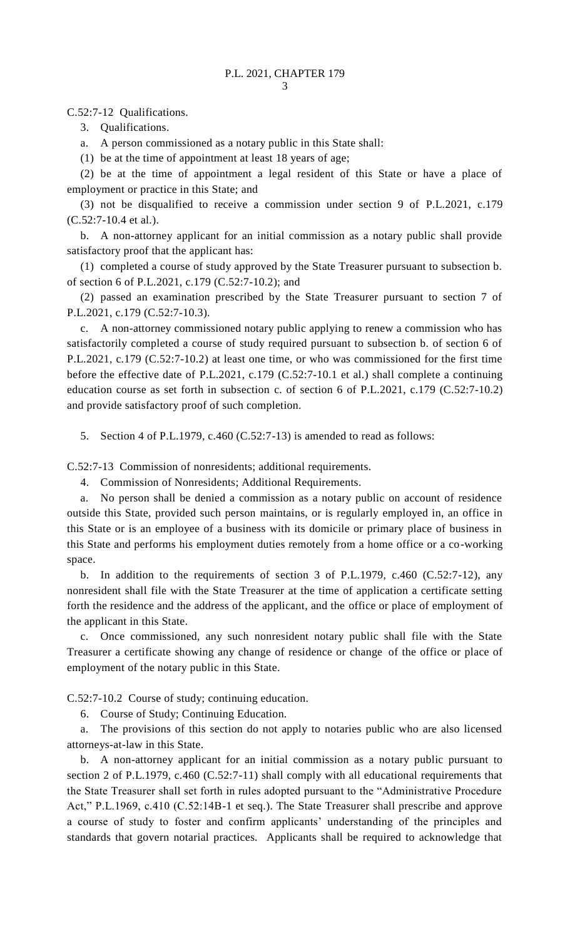C.52:7-12 Qualifications.

3. Qualifications.

a. A person commissioned as a notary public in this State shall:

(1) be at the time of appointment at least 18 years of age;

(2) be at the time of appointment a legal resident of this State or have a place of employment or practice in this State; and

(3) not be disqualified to receive a commission under section 9 of P.L.2021, c.179 (C.52:7-10.4 et al.).

b. A non-attorney applicant for an initial commission as a notary public shall provide satisfactory proof that the applicant has:

(1) completed a course of study approved by the State Treasurer pursuant to subsection b. of section 6 of P.L.2021, c.179 (C.52:7-10.2); and

(2) passed an examination prescribed by the State Treasurer pursuant to section 7 of P.L.2021, c.179 (C.52:7-10.3).

c. A non-attorney commissioned notary public applying to renew a commission who has satisfactorily completed a course of study required pursuant to subsection b. of section 6 of P.L.2021, c.179 (C.52:7-10.2) at least one time, or who was commissioned for the first time before the effective date of P.L.2021, c.179 (C.52:7-10.1 et al.) shall complete a continuing education course as set forth in subsection c. of section 6 of P.L.2021, c.179 (C.52:7-10.2) and provide satisfactory proof of such completion.

5. Section 4 of P.L.1979, c.460 (C.52:7-13) is amended to read as follows:

C.52:7-13 Commission of nonresidents; additional requirements.

4. Commission of Nonresidents; Additional Requirements.

a. No person shall be denied a commission as a notary public on account of residence outside this State, provided such person maintains, or is regularly employed in, an office in this State or is an employee of a business with its domicile or primary place of business in this State and performs his employment duties remotely from a home office or a co-working space.

b. In addition to the requirements of section 3 of P.L.1979, c.460 (C.52:7-12), any nonresident shall file with the State Treasurer at the time of application a certificate setting forth the residence and the address of the applicant, and the office or place of employment of the applicant in this State.

c. Once commissioned, any such nonresident notary public shall file with the State Treasurer a certificate showing any change of residence or change of the office or place of employment of the notary public in this State.

C.52:7-10.2 Course of study; continuing education.

6. Course of Study; Continuing Education.

a. The provisions of this section do not apply to notaries public who are also licensed attorneys-at-law in this State.

b. A non-attorney applicant for an initial commission as a notary public pursuant to section 2 of P.L.1979, c.460 (C.52:7-11) shall comply with all educational requirements that the State Treasurer shall set forth in rules adopted pursuant to the "Administrative Procedure Act," P.L.1969, c.410 (C.52:14B-1 et seq.). The State Treasurer shall prescribe and approve a course of study to foster and confirm applicants' understanding of the principles and standards that govern notarial practices. Applicants shall be required to acknowledge that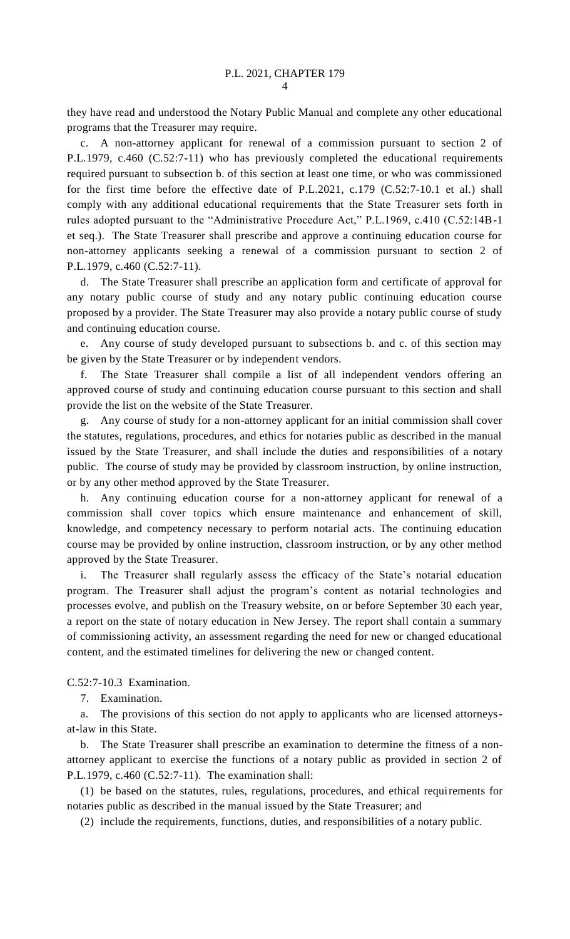they have read and understood the Notary Public Manual and complete any other educational programs that the Treasurer may require.

c. A non-attorney applicant for renewal of a commission pursuant to section 2 of P.L.1979, c.460 (C.52:7-11) who has previously completed the educational requirements required pursuant to subsection b. of this section at least one time, or who was commissioned for the first time before the effective date of P.L.2021, c.179 (C.52:7-10.1 et al.) shall comply with any additional educational requirements that the State Treasurer sets forth in rules adopted pursuant to the "Administrative Procedure Act," P.L.1969, c.410 (C.52:14B-1 et seq.). The State Treasurer shall prescribe and approve a continuing education course for non-attorney applicants seeking a renewal of a commission pursuant to section 2 of P.L.1979, c.460 (C.52:7-11).

d. The State Treasurer shall prescribe an application form and certificate of approval for any notary public course of study and any notary public continuing education course proposed by a provider. The State Treasurer may also provide a notary public course of study and continuing education course.

Any course of study developed pursuant to subsections b. and c. of this section may be given by the State Treasurer or by independent vendors.

f. The State Treasurer shall compile a list of all independent vendors offering an approved course of study and continuing education course pursuant to this section and shall provide the list on the website of the State Treasurer.

g. Any course of study for a non-attorney applicant for an initial commission shall cover the statutes, regulations, procedures, and ethics for notaries public as described in the manual issued by the State Treasurer, and shall include the duties and responsibilities of a notary public. The course of study may be provided by classroom instruction, by online instruction, or by any other method approved by the State Treasurer.

h. Any continuing education course for a non-attorney applicant for renewal of a commission shall cover topics which ensure maintenance and enhancement of skill, knowledge, and competency necessary to perform notarial acts. The continuing education course may be provided by online instruction, classroom instruction, or by any other method approved by the State Treasurer.

i. The Treasurer shall regularly assess the efficacy of the State's notarial education program. The Treasurer shall adjust the program's content as notarial technologies and processes evolve, and publish on the Treasury website, on or before September 30 each year, a report on the state of notary education in New Jersey. The report shall contain a summary of commissioning activity, an assessment regarding the need for new or changed educational content, and the estimated timelines for delivering the new or changed content.

C.52:7-10.3 Examination.

7. Examination.

a. The provisions of this section do not apply to applicants who are licensed attorneysat-law in this State.

b. The State Treasurer shall prescribe an examination to determine the fitness of a nonattorney applicant to exercise the functions of a notary public as provided in section 2 of P.L.1979, c.460 (C.52:7-11). The examination shall:

(1) be based on the statutes, rules, regulations, procedures, and ethical requirements for notaries public as described in the manual issued by the State Treasurer; and

(2) include the requirements, functions, duties, and responsibilities of a notary public.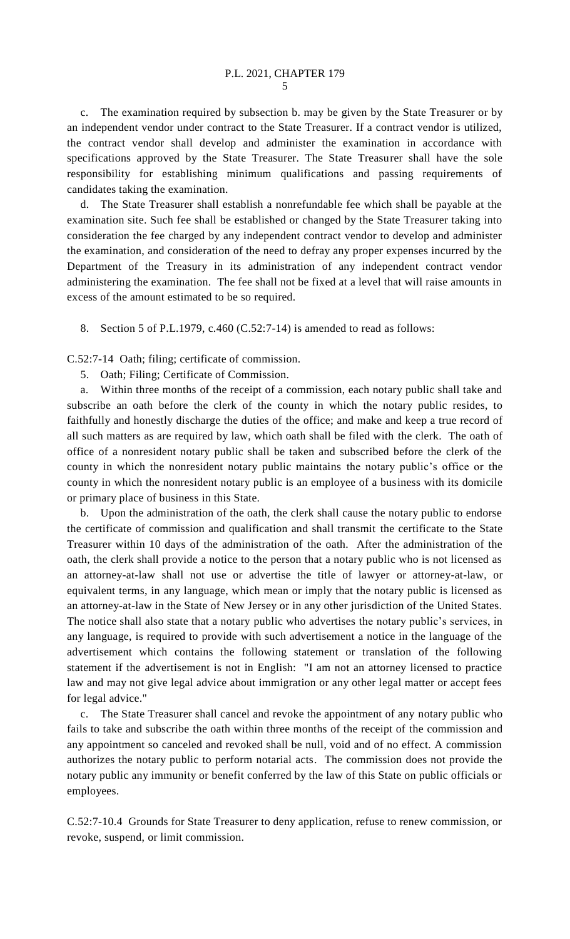c. The examination required by subsection b. may be given by the State Treasurer or by an independent vendor under contract to the State Treasurer. If a contract vendor is utilized, the contract vendor shall develop and administer the examination in accordance with specifications approved by the State Treasurer. The State Treasurer shall have the sole responsibility for establishing minimum qualifications and passing requirements of candidates taking the examination.

d. The State Treasurer shall establish a nonrefundable fee which shall be payable at the examination site. Such fee shall be established or changed by the State Treasurer taking into consideration the fee charged by any independent contract vendor to develop and administer the examination, and consideration of the need to defray any proper expenses incurred by the Department of the Treasury in its administration of any independent contract vendor administering the examination. The fee shall not be fixed at a level that will raise amounts in excess of the amount estimated to be so required.

8. Section 5 of P.L.1979, c.460 (C.52:7-14) is amended to read as follows:

C.52:7-14 Oath; filing; certificate of commission.

5. Oath; Filing; Certificate of Commission.

a. Within three months of the receipt of a commission, each notary public shall take and subscribe an oath before the clerk of the county in which the notary public resides, to faithfully and honestly discharge the duties of the office; and make and keep a true record of all such matters as are required by law, which oath shall be filed with the clerk. The oath of office of a nonresident notary public shall be taken and subscribed before the clerk of the county in which the nonresident notary public maintains the notary public's office or the county in which the nonresident notary public is an employee of a business with its domicile or primary place of business in this State.

b. Upon the administration of the oath, the clerk shall cause the notary public to endorse the certificate of commission and qualification and shall transmit the certificate to the State Treasurer within 10 days of the administration of the oath. After the administration of the oath, the clerk shall provide a notice to the person that a notary public who is not licensed as an attorney-at-law shall not use or advertise the title of lawyer or attorney-at-law, or equivalent terms, in any language, which mean or imply that the notary public is licensed as an attorney-at-law in the State of New Jersey or in any other jurisdiction of the United States. The notice shall also state that a notary public who advertises the notary public's services, in any language, is required to provide with such advertisement a notice in the language of the advertisement which contains the following statement or translation of the following statement if the advertisement is not in English: "I am not an attorney licensed to practice law and may not give legal advice about immigration or any other legal matter or accept fees for legal advice."

c. The State Treasurer shall cancel and revoke the appointment of any notary public who fails to take and subscribe the oath within three months of the receipt of the commission and any appointment so canceled and revoked shall be null, void and of no effect. A commission authorizes the notary public to perform notarial acts. The commission does not provide the notary public any immunity or benefit conferred by the law of this State on public officials or employees.

C.52:7-10.4 Grounds for State Treasurer to deny application, refuse to renew commission, or revoke, suspend, or limit commission.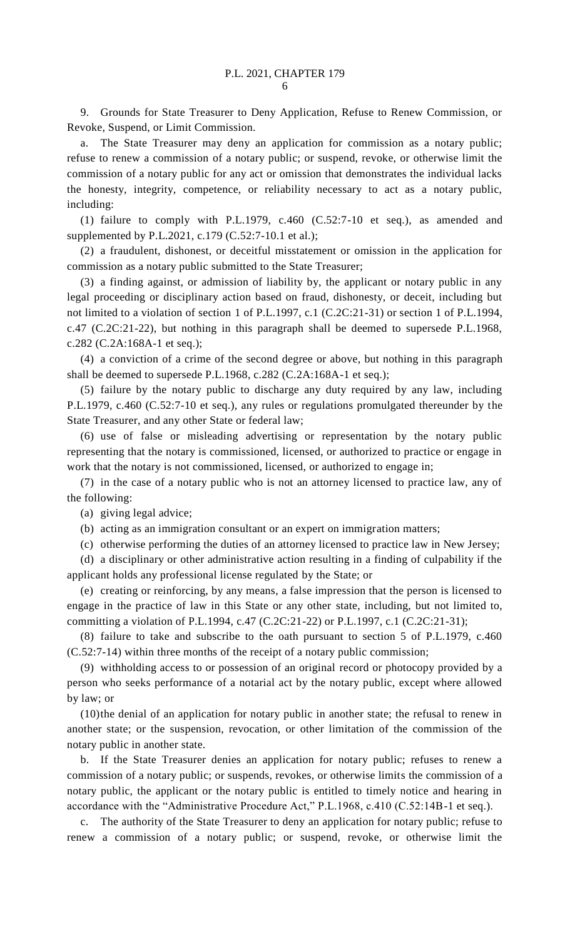9. Grounds for State Treasurer to Deny Application, Refuse to Renew Commission, or Revoke, Suspend, or Limit Commission.

a. The State Treasurer may deny an application for commission as a notary public; refuse to renew a commission of a notary public; or suspend, revoke, or otherwise limit the commission of a notary public for any act or omission that demonstrates the individual lacks the honesty, integrity, competence, or reliability necessary to act as a notary public, including:

(1) failure to comply with P.L.1979, c.460 (C.52:7-10 et seq.), as amended and supplemented by P.L.2021, c.179 (C.52:7-10.1 et al.);

(2) a fraudulent, dishonest, or deceitful misstatement or omission in the application for commission as a notary public submitted to the State Treasurer;

(3) a finding against, or admission of liability by, the applicant or notary public in any legal proceeding or disciplinary action based on fraud, dishonesty, or deceit, including but not limited to a violation of section 1 of P.L.1997, c.1 (C.2C:21-31) or section 1 of P.L.1994, c.47 (C.2C:21-22), but nothing in this paragraph shall be deemed to supersede P.L.1968, c.282 (C.2A:168A-1 et seq.);

(4) a conviction of a crime of the second degree or above, but nothing in this paragraph shall be deemed to supersede P.L.1968, c.282 (C.2A:168A-1 et seq.);

(5) failure by the notary public to discharge any duty required by any law, including P.L.1979, c.460 (C.52:7-10 et seq.), any rules or regulations promulgated thereunder by the State Treasurer, and any other State or federal law;

(6) use of false or misleading advertising or representation by the notary public representing that the notary is commissioned, licensed, or authorized to practice or engage in work that the notary is not commissioned, licensed, or authorized to engage in;

(7) in the case of a notary public who is not an attorney licensed to practice law, any of the following:

(a) giving legal advice;

(b) acting as an immigration consultant or an expert on immigration matters;

(c) otherwise performing the duties of an attorney licensed to practice law in New Jersey;

(d) a disciplinary or other administrative action resulting in a finding of culpability if the applicant holds any professional license regulated by the State; or

(e) creating or reinforcing, by any means, a false impression that the person is licensed to engage in the practice of law in this State or any other state, including, but not limited to, committing a violation of P.L.1994, c.47 (C.2C:21-22) or P.L.1997, c.1 (C.2C:21-31);

(8) failure to take and subscribe to the oath pursuant to section 5 of P.L.1979, c.460 (C.52:7-14) within three months of the receipt of a notary public commission;

(9) withholding access to or possession of an original record or photocopy provided by a person who seeks performance of a notarial act by the notary public, except where allowed by law; or

(10)the denial of an application for notary public in another state; the refusal to renew in another state; or the suspension, revocation, or other limitation of the commission of the notary public in another state.

b. If the State Treasurer denies an application for notary public; refuses to renew a commission of a notary public; or suspends, revokes, or otherwise limits the commission of a notary public, the applicant or the notary public is entitled to timely notice and hearing in accordance with the "Administrative Procedure Act," P.L.1968, c.410 (C.52:14B-1 et seq.).

c. The authority of the State Treasurer to deny an application for notary public; refuse to renew a commission of a notary public; or suspend, revoke, or otherwise limit the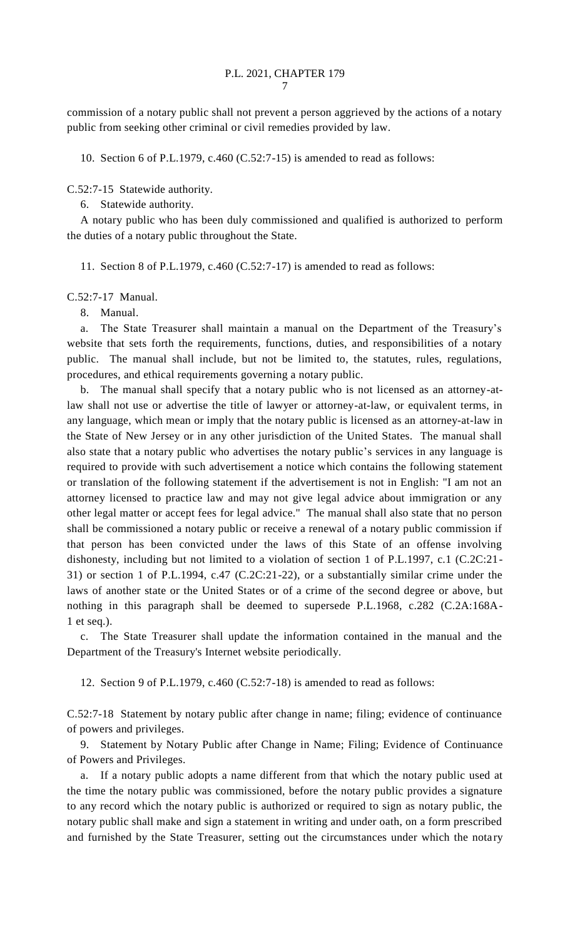commission of a notary public shall not prevent a person aggrieved by the actions of a notary public from seeking other criminal or civil remedies provided by law.

10. Section 6 of P.L.1979, c.460 (C.52:7-15) is amended to read as follows:

C.52:7-15 Statewide authority.

6. Statewide authority.

A notary public who has been duly commissioned and qualified is authorized to perform the duties of a notary public throughout the State.

11. Section 8 of P.L.1979, c.460 (C.52:7-17) is amended to read as follows:

C.52:7-17 Manual.

8. Manual.

a. The State Treasurer shall maintain a manual on the Department of the Treasury's website that sets forth the requirements, functions, duties, and responsibilities of a notary public. The manual shall include, but not be limited to, the statutes, rules, regulations, procedures, and ethical requirements governing a notary public.

b. The manual shall specify that a notary public who is not licensed as an attorney-atlaw shall not use or advertise the title of lawyer or attorney-at-law, or equivalent terms, in any language, which mean or imply that the notary public is licensed as an attorney-at-law in the State of New Jersey or in any other jurisdiction of the United States. The manual shall also state that a notary public who advertises the notary public's services in any language is required to provide with such advertisement a notice which contains the following statement or translation of the following statement if the advertisement is not in English: "I am not an attorney licensed to practice law and may not give legal advice about immigration or any other legal matter or accept fees for legal advice." The manual shall also state that no person shall be commissioned a notary public or receive a renewal of a notary public commission if that person has been convicted under the laws of this State of an offense involving dishonesty, including but not limited to a violation of section 1 of P.L.1997, c.1 (C.2C:21- 31) or section 1 of P.L.1994, c.47 (C.2C:21-22), or a substantially similar crime under the laws of another state or the United States or of a crime of the second degree or above, but nothing in this paragraph shall be deemed to supersede P.L.1968, c.282 (C.2A:168A-1 et seq.).

c. The State Treasurer shall update the information contained in the manual and the Department of the Treasury's Internet website periodically.

12. Section 9 of P.L.1979, c.460 (C.52:7-18) is amended to read as follows:

C.52:7-18 Statement by notary public after change in name; filing; evidence of continuance of powers and privileges.

9. Statement by Notary Public after Change in Name; Filing; Evidence of Continuance of Powers and Privileges.

a. If a notary public adopts a name different from that which the notary public used at the time the notary public was commissioned, before the notary public provides a signature to any record which the notary public is authorized or required to sign as notary public, the notary public shall make and sign a statement in writing and under oath, on a form prescribed and furnished by the State Treasurer, setting out the circumstances under which the notary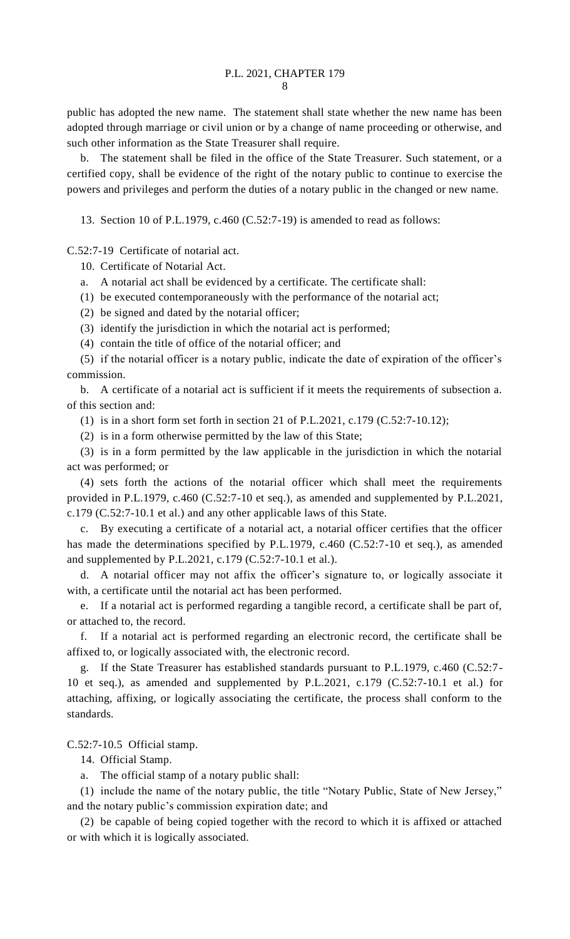public has adopted the new name. The statement shall state whether the new name has been adopted through marriage or civil union or by a change of name proceeding or otherwise, and such other information as the State Treasurer shall require.

b. The statement shall be filed in the office of the State Treasurer. Such statement, or a certified copy, shall be evidence of the right of the notary public to continue to exercise the powers and privileges and perform the duties of a notary public in the changed or new name.

13. Section 10 of P.L.1979, c.460 (C.52:7-19) is amended to read as follows:

C.52:7-19 Certificate of notarial act.

10. Certificate of Notarial Act.

- a. A notarial act shall be evidenced by a certificate. The certificate shall:
- (1) be executed contemporaneously with the performance of the notarial act;
- (2) be signed and dated by the notarial officer;
- (3) identify the jurisdiction in which the notarial act is performed;
- (4) contain the title of office of the notarial officer; and

(5) if the notarial officer is a notary public, indicate the date of expiration of the officer's commission.

b. A certificate of a notarial act is sufficient if it meets the requirements of subsection a. of this section and:

- (1) is in a short form set forth in section 21 of P.L.2021, c.179 (C.52:7-10.12);
- (2) is in a form otherwise permitted by the law of this State;

(3) is in a form permitted by the law applicable in the jurisdiction in which the notarial act was performed; or

(4) sets forth the actions of the notarial officer which shall meet the requirements provided in P.L.1979, c.460 (C.52:7-10 et seq.), as amended and supplemented by P.L.2021, c.179 (C.52:7-10.1 et al.) and any other applicable laws of this State.

c. By executing a certificate of a notarial act, a notarial officer certifies that the officer has made the determinations specified by P.L.1979, c.460 (C.52:7-10 et seq.), as amended and supplemented by P.L.2021, c.179 (C.52:7-10.1 et al.).

d. A notarial officer may not affix the officer's signature to, or logically associate it with, a certificate until the notarial act has been performed.

e. If a notarial act is performed regarding a tangible record, a certificate shall be part of, or attached to, the record.

f. If a notarial act is performed regarding an electronic record, the certificate shall be affixed to, or logically associated with, the electronic record.

g. If the State Treasurer has established standards pursuant to P.L.1979, c.460 (C.52:7- 10 et seq.), as amended and supplemented by P.L.2021, c.179 (C.52:7-10.1 et al.) for attaching, affixing, or logically associating the certificate, the process shall conform to the standards.

C.52:7-10.5 Official stamp.

14. Official Stamp.

a. The official stamp of a notary public shall:

(1) include the name of the notary public, the title "Notary Public, State of New Jersey," and the notary public's commission expiration date; and

(2) be capable of being copied together with the record to which it is affixed or attached or with which it is logically associated.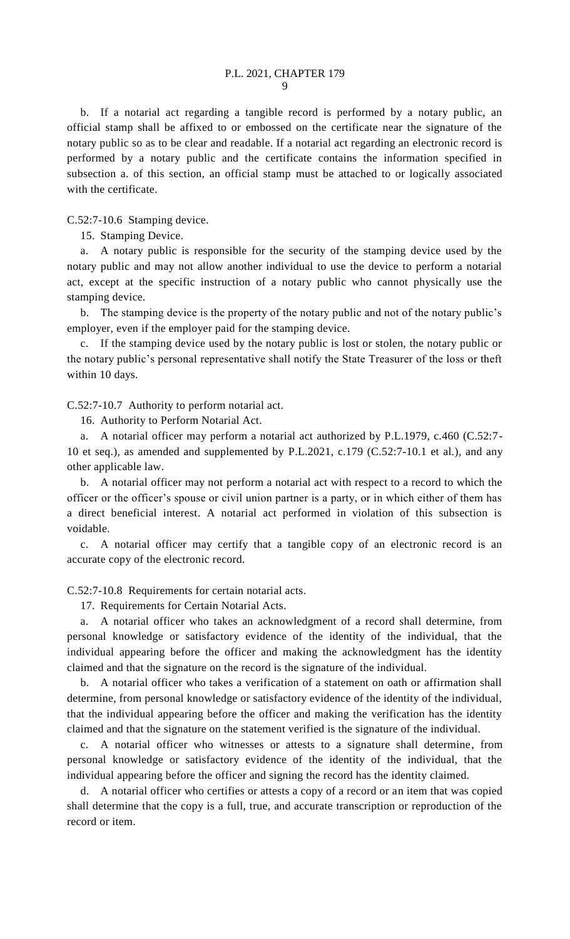b. If a notarial act regarding a tangible record is performed by a notary public, an official stamp shall be affixed to or embossed on the certificate near the signature of the notary public so as to be clear and readable. If a notarial act regarding an electronic record is performed by a notary public and the certificate contains the information specified in subsection a. of this section, an official stamp must be attached to or logically associated with the certificate.

C.52:7-10.6 Stamping device.

15. Stamping Device.

a. A notary public is responsible for the security of the stamping device used by the notary public and may not allow another individual to use the device to perform a notarial act, except at the specific instruction of a notary public who cannot physically use the stamping device.

b. The stamping device is the property of the notary public and not of the notary public's employer, even if the employer paid for the stamping device.

c. If the stamping device used by the notary public is lost or stolen, the notary public or the notary public's personal representative shall notify the State Treasurer of the loss or theft within 10 days.

C.52:7-10.7 Authority to perform notarial act.

16. Authority to Perform Notarial Act.

a. A notarial officer may perform a notarial act authorized by P.L.1979, c.460 (C.52:7- 10 et seq.), as amended and supplemented by P.L.2021, c.179 (C.52:7-10.1 et al.), and any other applicable law.

b. A notarial officer may not perform a notarial act with respect to a record to which the officer or the officer's spouse or civil union partner is a party, or in which either of them has a direct beneficial interest. A notarial act performed in violation of this subsection is voidable.

c. A notarial officer may certify that a tangible copy of an electronic record is an accurate copy of the electronic record.

C.52:7-10.8 Requirements for certain notarial acts.

17. Requirements for Certain Notarial Acts.

a. A notarial officer who takes an acknowledgment of a record shall determine, from personal knowledge or satisfactory evidence of the identity of the individual, that the individual appearing before the officer and making the acknowledgment has the identity claimed and that the signature on the record is the signature of the individual.

b. A notarial officer who takes a verification of a statement on oath or affirmation shall determine, from personal knowledge or satisfactory evidence of the identity of the individual, that the individual appearing before the officer and making the verification has the identity claimed and that the signature on the statement verified is the signature of the individual.

c. A notarial officer who witnesses or attests to a signature shall determine, from personal knowledge or satisfactory evidence of the identity of the individual, that the individual appearing before the officer and signing the record has the identity claimed.

d. A notarial officer who certifies or attests a copy of a record or an item that was copied shall determine that the copy is a full, true, and accurate transcription or reproduction of the record or item.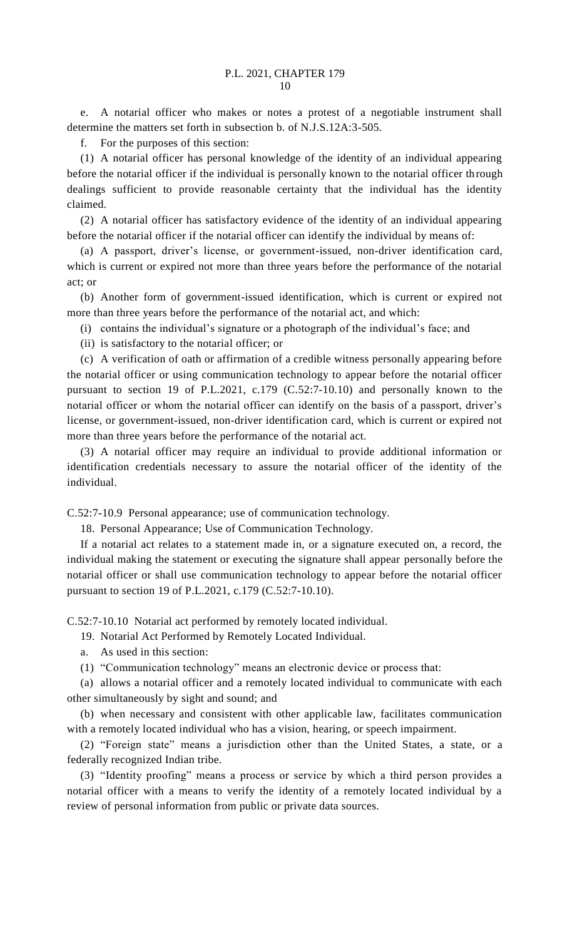e. A notarial officer who makes or notes a protest of a negotiable instrument shall determine the matters set forth in subsection b. of N.J.S.12A:3-505.

f. For the purposes of this section:

(1) A notarial officer has personal knowledge of the identity of an individual appearing before the notarial officer if the individual is personally known to the notarial officer through dealings sufficient to provide reasonable certainty that the individual has the identity claimed.

(2) A notarial officer has satisfactory evidence of the identity of an individual appearing before the notarial officer if the notarial officer can identify the individual by means of:

(a) A passport, driver's license, or government-issued, non-driver identification card, which is current or expired not more than three years before the performance of the notarial act; or

(b) Another form of government-issued identification, which is current or expired not more than three years before the performance of the notarial act, and which:

(i) contains the individual's signature or a photograph of the individual's face; and

(ii) is satisfactory to the notarial officer; or

(c) A verification of oath or affirmation of a credible witness personally appearing before the notarial officer or using communication technology to appear before the notarial officer pursuant to section 19 of P.L.2021, c.179 (C.52:7-10.10) and personally known to the notarial officer or whom the notarial officer can identify on the basis of a passport, driver's license, or government-issued, non-driver identification card, which is current or expired not more than three years before the performance of the notarial act.

(3) A notarial officer may require an individual to provide additional information or identification credentials necessary to assure the notarial officer of the identity of the individual.

C.52:7-10.9 Personal appearance; use of communication technology.

18. Personal Appearance; Use of Communication Technology.

If a notarial act relates to a statement made in, or a signature executed on, a record, the individual making the statement or executing the signature shall appear personally before the notarial officer or shall use communication technology to appear before the notarial officer pursuant to section 19 of P.L.2021, c.179 (C.52:7-10.10).

C.52:7-10.10 Notarial act performed by remotely located individual.

19. Notarial Act Performed by Remotely Located Individual.

a. As used in this section:

(1) "Communication technology" means an electronic device or process that:

(a) allows a notarial officer and a remotely located individual to communicate with each other simultaneously by sight and sound; and

(b) when necessary and consistent with other applicable law, facilitates communication with a remotely located individual who has a vision, hearing, or speech impairment.

(2) "Foreign state" means a jurisdiction other than the United States, a state, or a federally recognized Indian tribe.

(3) "Identity proofing" means a process or service by which a third person provides a notarial officer with a means to verify the identity of a remotely located individual by a review of personal information from public or private data sources.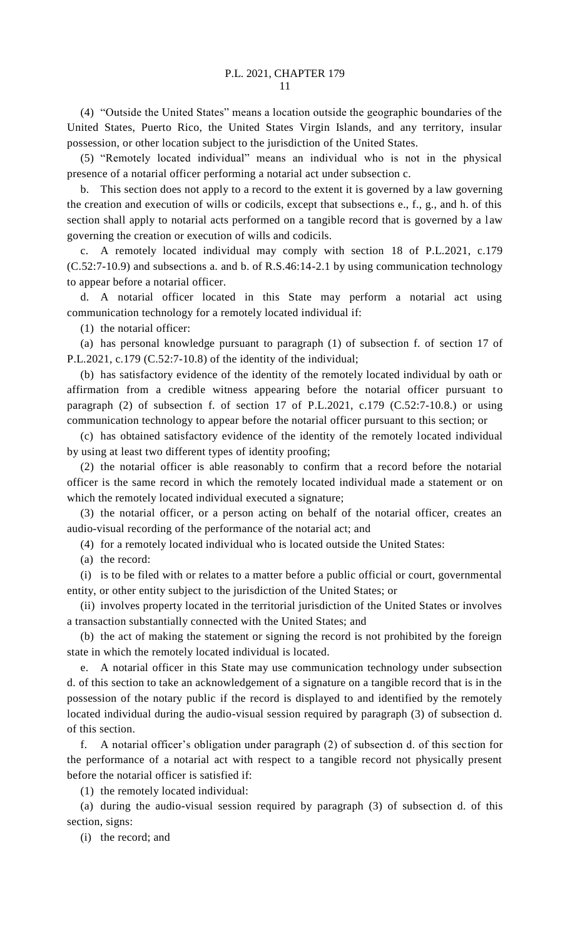(4) "Outside the United States" means a location outside the geographic boundaries of the United States, Puerto Rico, the United States Virgin Islands, and any territory, insular possession, or other location subject to the jurisdiction of the United States.

(5) "Remotely located individual" means an individual who is not in the physical presence of a notarial officer performing a notarial act under subsection c.

b. This section does not apply to a record to the extent it is governed by a law governing the creation and execution of wills or codicils, except that subsections e., f., g., and h. of this section shall apply to notarial acts performed on a tangible record that is governed by a law governing the creation or execution of wills and codicils.

c. A remotely located individual may comply with section 18 of P.L.2021, c.179 (C.52:7-10.9) and subsections a. and b. of R.S.46:14-2.1 by using communication technology to appear before a notarial officer.

d. A notarial officer located in this State may perform a notarial act using communication technology for a remotely located individual if:

(1) the notarial officer:

(a) has personal knowledge pursuant to paragraph (1) of subsection f. of section 17 of P.L.2021, c.179 (C.52:7-10.8) of the identity of the individual;

(b) has satisfactory evidence of the identity of the remotely located individual by oath or affirmation from a credible witness appearing before the notarial officer pursuant to paragraph (2) of subsection f. of section 17 of P.L.2021, c.179 (C.52:7-10.8.) or using communication technology to appear before the notarial officer pursuant to this section; or

(c) has obtained satisfactory evidence of the identity of the remotely located individual by using at least two different types of identity proofing;

(2) the notarial officer is able reasonably to confirm that a record before the notarial officer is the same record in which the remotely located individual made a statement or on which the remotely located individual executed a signature;

(3) the notarial officer, or a person acting on behalf of the notarial officer, creates an audio-visual recording of the performance of the notarial act; and

(4) for a remotely located individual who is located outside the United States:

(a) the record:

(i) is to be filed with or relates to a matter before a public official or court, governmental entity, or other entity subject to the jurisdiction of the United States; or

(ii) involves property located in the territorial jurisdiction of the United States or involves a transaction substantially connected with the United States; and

(b) the act of making the statement or signing the record is not prohibited by the foreign state in which the remotely located individual is located.

e. A notarial officer in this State may use communication technology under subsection d. of this section to take an acknowledgement of a signature on a tangible record that is in the possession of the notary public if the record is displayed to and identified by the remotely located individual during the audio-visual session required by paragraph (3) of subsection d. of this section.

f. A notarial officer's obligation under paragraph (2) of subsection d. of this section for the performance of a notarial act with respect to a tangible record not physically present before the notarial officer is satisfied if:

(1) the remotely located individual:

(a) during the audio-visual session required by paragraph (3) of subsection d. of this section, signs:

(i) the record; and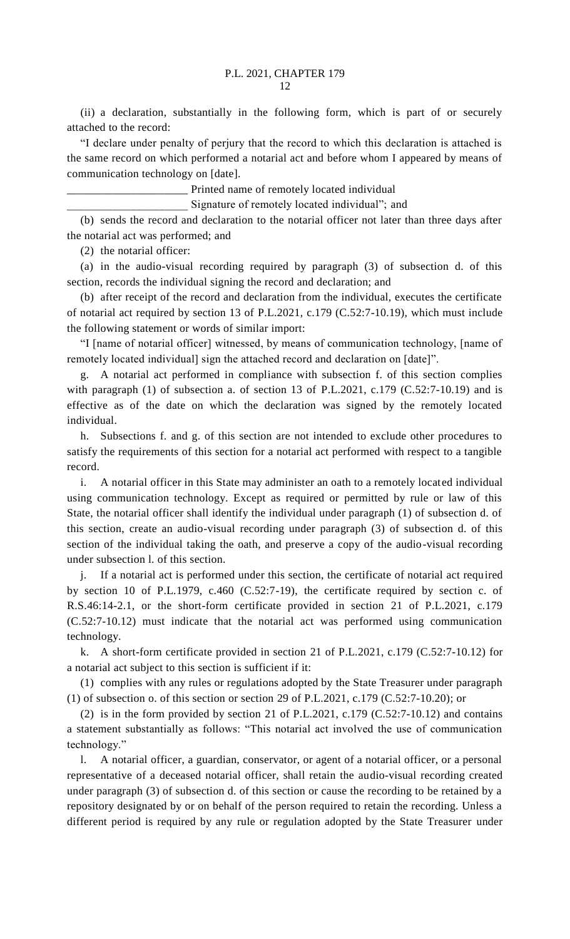(ii) a declaration, substantially in the following form, which is part of or securely attached to the record:

"I declare under penalty of perjury that the record to which this declaration is attached is the same record on which performed a notarial act and before whom I appeared by means of communication technology on [date].

\_\_\_\_\_\_\_\_\_\_\_\_\_\_\_\_\_\_\_\_\_ Printed name of remotely located individual

Signature of remotely located individual"; and

(b) sends the record and declaration to the notarial officer not later than three days after the notarial act was performed; and

(2) the notarial officer:

(a) in the audio-visual recording required by paragraph (3) of subsection d. of this section, records the individual signing the record and declaration; and

(b) after receipt of the record and declaration from the individual, executes the certificate of notarial act required by section 13 of P.L.2021, c.179 (C.52:7-10.19), which must include the following statement or words of similar import:

"I [name of notarial officer] witnessed, by means of communication technology, [name of remotely located individual] sign the attached record and declaration on [date]".

g. A notarial act performed in compliance with subsection f. of this section complies with paragraph (1) of subsection a. of section 13 of P.L.2021, c.179  $(C.52:7-10.19)$  and is effective as of the date on which the declaration was signed by the remotely located individual.

h. Subsections f. and g. of this section are not intended to exclude other procedures to satisfy the requirements of this section for a notarial act performed with respect to a tangible record.

i. A notarial officer in this State may administer an oath to a remotely located individual using communication technology. Except as required or permitted by rule or law of this State, the notarial officer shall identify the individual under paragraph (1) of subsection d. of this section, create an audio-visual recording under paragraph (3) of subsection d. of this section of the individual taking the oath, and preserve a copy of the audio-visual recording under subsection l. of this section.

j. If a notarial act is performed under this section, the certificate of notarial act required by section 10 of P.L.1979, c.460 (C.52:7-19), the certificate required by section c. of R.S.46:14-2.1, or the short-form certificate provided in section 21 of P.L.2021, c.179 (C.52:7-10.12) must indicate that the notarial act was performed using communication technology.

k. A short-form certificate provided in section 21 of P.L.2021, c.179 (C.52:7-10.12) for a notarial act subject to this section is sufficient if it:

(1) complies with any rules or regulations adopted by the State Treasurer under paragraph (1) of subsection o. of this section or section 29 of P.L.2021, c.179 (C.52:7-10.20); or

(2) is in the form provided by section 21 of P.L.2021, c.179 (C.52:7-10.12) and contains a statement substantially as follows: "This notarial act involved the use of communication technology."

l. A notarial officer, a guardian, conservator, or agent of a notarial officer, or a personal representative of a deceased notarial officer, shall retain the audio-visual recording created under paragraph (3) of subsection d. of this section or cause the recording to be retained by a repository designated by or on behalf of the person required to retain the recording. Unless a different period is required by any rule or regulation adopted by the State Treasurer under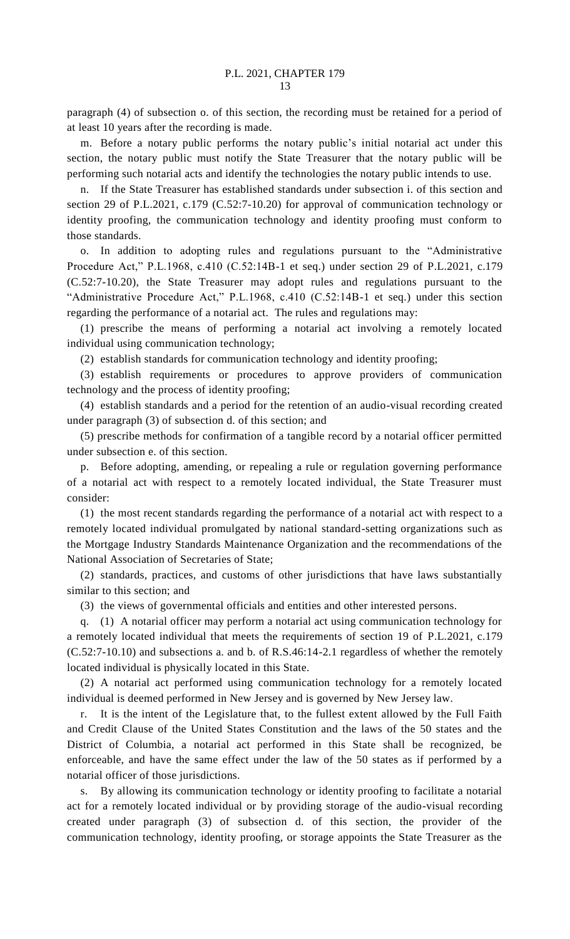paragraph (4) of subsection o. of this section, the recording must be retained for a period of at least 10 years after the recording is made.

m. Before a notary public performs the notary public's initial notarial act under this section, the notary public must notify the State Treasurer that the notary public will be performing such notarial acts and identify the technologies the notary public intends to use.

n. If the State Treasurer has established standards under subsection i. of this section and section 29 of P.L.2021, c.179 (C.52:7-10.20) for approval of communication technology or identity proofing, the communication technology and identity proofing must conform to those standards.

o. In addition to adopting rules and regulations pursuant to the "Administrative Procedure Act," P.L.1968, c.410 (C.52:14B-1 et seq.) under section 29 of P.L.2021, c.179 (C.52:7-10.20), the State Treasurer may adopt rules and regulations pursuant to the "Administrative Procedure Act," P.L.1968, c.410 (C.52:14B-1 et seq.) under this section regarding the performance of a notarial act. The rules and regulations may:

(1) prescribe the means of performing a notarial act involving a remotely located individual using communication technology;

(2) establish standards for communication technology and identity proofing;

(3) establish requirements or procedures to approve providers of communication technology and the process of identity proofing;

(4) establish standards and a period for the retention of an audio-visual recording created under paragraph (3) of subsection d. of this section; and

(5) prescribe methods for confirmation of a tangible record by a notarial officer permitted under subsection e. of this section.

p. Before adopting, amending, or repealing a rule or regulation governing performance of a notarial act with respect to a remotely located individual, the State Treasurer must consider:

(1) the most recent standards regarding the performance of a notarial act with respect to a remotely located individual promulgated by national standard-setting organizations such as the Mortgage Industry Standards Maintenance Organization and the recommendations of the National Association of Secretaries of State;

(2) standards, practices, and customs of other jurisdictions that have laws substantially similar to this section; and

(3) the views of governmental officials and entities and other interested persons.

q. (1) A notarial officer may perform a notarial act using communication technology for a remotely located individual that meets the requirements of section 19 of P.L.2021, c.179 (C.52:7-10.10) and subsections a. and b. of R.S.46:14-2.1 regardless of whether the remotely located individual is physically located in this State.

(2) A notarial act performed using communication technology for a remotely located individual is deemed performed in New Jersey and is governed by New Jersey law.

r. It is the intent of the Legislature that, to the fullest extent allowed by the Full Faith and Credit Clause of the United States Constitution and the laws of the 50 states and the District of Columbia, a notarial act performed in this State shall be recognized, be enforceable, and have the same effect under the law of the 50 states as if performed by a notarial officer of those jurisdictions.

s. By allowing its communication technology or identity proofing to facilitate a notarial act for a remotely located individual or by providing storage of the audio-visual recording created under paragraph (3) of subsection d. of this section, the provider of the communication technology, identity proofing, or storage appoints the State Treasurer as the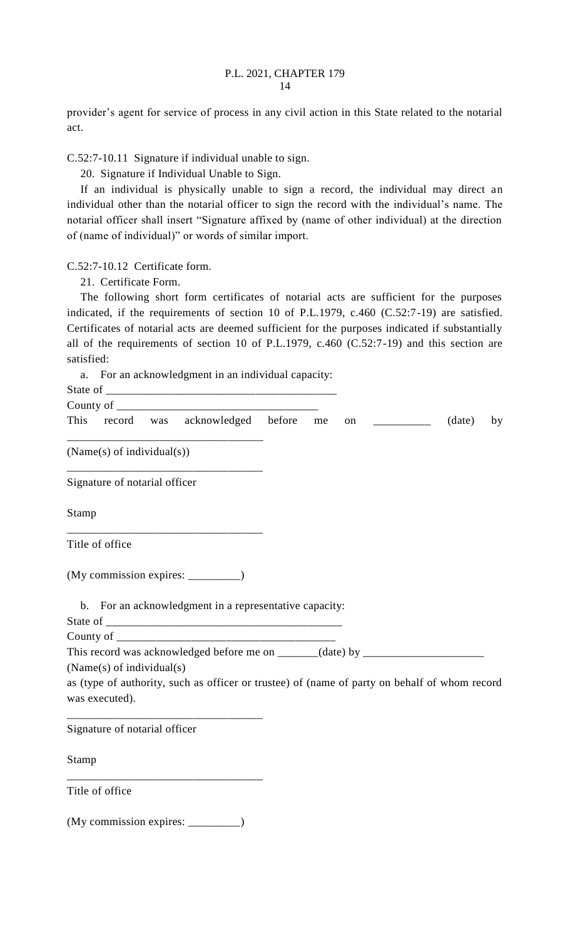provider's agent for service of process in any civil action in this State related to the notarial act.

C.52:7-10.11 Signature if individual unable to sign.

20. Signature if Individual Unable to Sign.

If an individual is physically unable to sign a record, the individual may direct an individual other than the notarial officer to sign the record with the individual's name. The notarial officer shall insert "Signature affixed by (name of other individual) at the direction of (name of individual)" or words of similar import.

C.52:7-10.12 Certificate form.

21. Certificate Form.

The following short form certificates of notarial acts are sufficient for the purposes indicated, if the requirements of section 10 of P.L.1979, c.460 (C.52:7-19) are satisfied. Certificates of notarial acts are deemed sufficient for the purposes indicated if substantially all of the requirements of section 10 of P.L.1979, c.460 (C.52:7-19) and this section are satisfied:

a. For an acknowledgment in an individual capacity:

| This  |                               | record was acknowledged before                                                                | me | on | <u> 1989 - Jan Barbara Barat, prima popula</u> | (date) | by |
|-------|-------------------------------|-----------------------------------------------------------------------------------------------|----|----|------------------------------------------------|--------|----|
|       | (Name(s) of individual(s))    |                                                                                               |    |    |                                                |        |    |
|       | Signature of notarial officer |                                                                                               |    |    |                                                |        |    |
| Stamp |                               |                                                                                               |    |    |                                                |        |    |
|       | Title of office               |                                                                                               |    |    |                                                |        |    |
|       |                               | (My commission expires: ___________)                                                          |    |    |                                                |        |    |
|       |                               | b. For an acknowledgment in a representative capacity:                                        |    |    |                                                |        |    |
|       |                               |                                                                                               |    |    |                                                |        |    |
|       |                               |                                                                                               |    |    |                                                |        |    |
|       |                               | This record was acknowledged before me on ______(date) by _______________________             |    |    |                                                |        |    |
|       | (Name(s) of individual(s)     |                                                                                               |    |    |                                                |        |    |
|       |                               | as (type of authority, such as officer or trustee) of (name of party on behalf of whom record |    |    |                                                |        |    |
|       | was executed).                |                                                                                               |    |    |                                                |        |    |
|       |                               |                                                                                               |    |    |                                                |        |    |
|       | Signature of notarial officer |                                                                                               |    |    |                                                |        |    |
| Stamp |                               |                                                                                               |    |    |                                                |        |    |
|       | Title of office               |                                                                                               |    |    |                                                |        |    |
|       |                               |                                                                                               |    |    |                                                |        |    |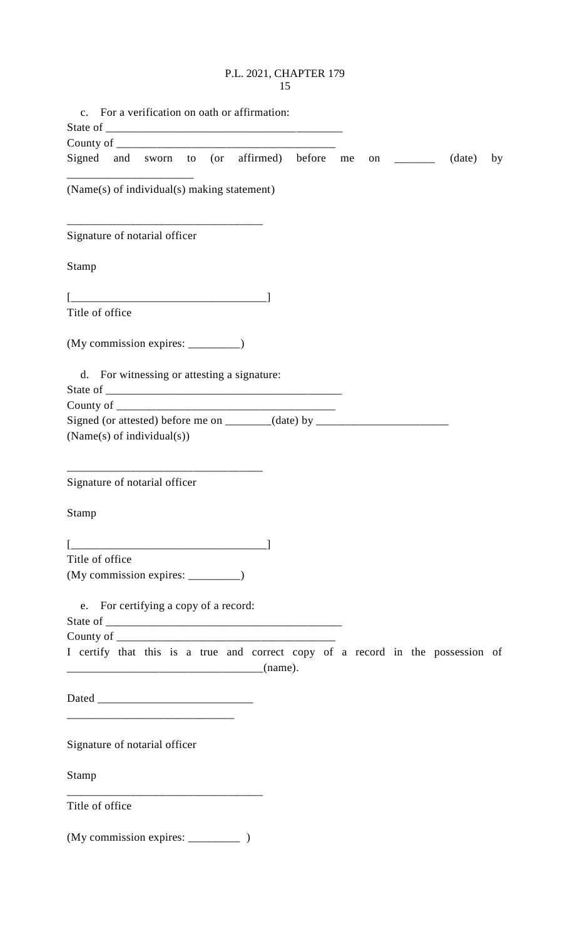## P.L. 2021, CHAPTER 179 15

| For a verification on oath or affirmation:<br>$\mathbf{c}$ .                                                                  |    |
|-------------------------------------------------------------------------------------------------------------------------------|----|
|                                                                                                                               |    |
|                                                                                                                               |    |
| Signed and sworn to (or affirmed) before me<br>(date)<br>on $\qquad \qquad$                                                   | by |
| (Name(s) of individual(s) making statement)                                                                                   |    |
| Signature of notarial officer                                                                                                 |    |
| Stamp                                                                                                                         |    |
|                                                                                                                               |    |
| Title of office                                                                                                               |    |
| (My commission expires: _________)                                                                                            |    |
| d. For witnessing or attesting a signature:                                                                                   |    |
|                                                                                                                               |    |
|                                                                                                                               |    |
| Signed (or attested) before me on _______(date) by ______________________________<br>(Name(s) of individual(s))               |    |
| Signature of notarial officer                                                                                                 |    |
| Stamp                                                                                                                         |    |
|                                                                                                                               |    |
| Title of office                                                                                                               |    |
| (My commission expires: _________)                                                                                            |    |
| e. For certifying a copy of a record:                                                                                         |    |
|                                                                                                                               |    |
| I certify that this is a true and correct copy of a record in the possession of                                               |    |
| <u> 1980 - Johann John Stone, mars et al. (</u>                                                                               |    |
|                                                                                                                               |    |
| Signature of notarial officer                                                                                                 |    |
| Stamp<br><u> 1960 - Johann John Harry, mars eta bainar eta baina eta baina eta baina eta baina eta baina eta baina eta ba</u> |    |
| Title of office                                                                                                               |    |
|                                                                                                                               |    |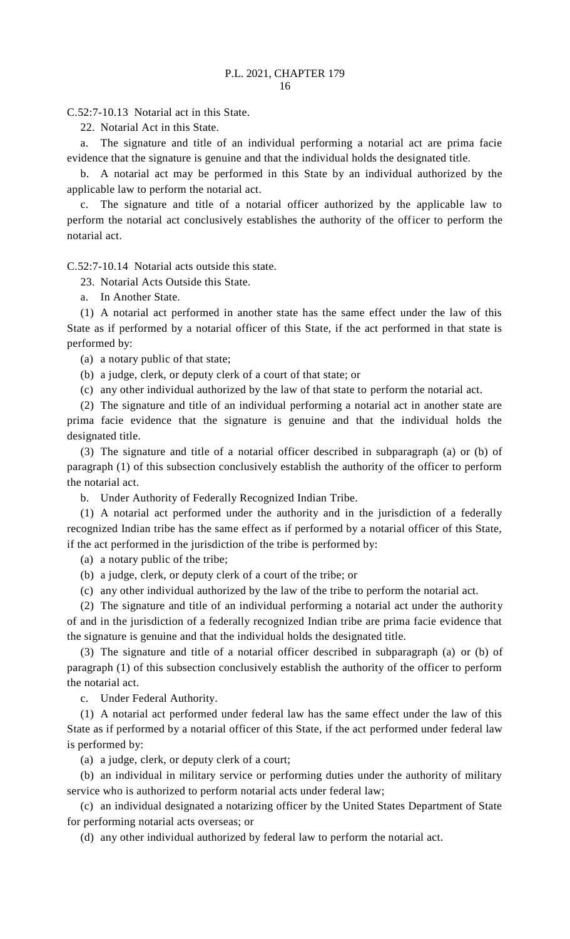C.52:7-10.13 Notarial act in this State.

22. Notarial Act in this State.

a. The signature and title of an individual performing a notarial act are prima facie evidence that the signature is genuine and that the individual holds the designated title.

b. A notarial act may be performed in this State by an individual authorized by the applicable law to perform the notarial act.

c. The signature and title of a notarial officer authorized by the applicable law to perform the notarial act conclusively establishes the authority of the officer to perform the notarial act.

C.52:7-10.14 Notarial acts outside this state.

23. Notarial Acts Outside this State.

a. In Another State.

(1) A notarial act performed in another state has the same effect under the law of this State as if performed by a notarial officer of this State, if the act performed in that state is performed by:

(a) a notary public of that state;

(b) a judge, clerk, or deputy clerk of a court of that state; or

(c) any other individual authorized by the law of that state to perform the notarial act.

(2) The signature and title of an individual performing a notarial act in another state are prima facie evidence that the signature is genuine and that the individual holds the designated title.

(3) The signature and title of a notarial officer described in subparagraph (a) or (b) of paragraph (1) of this subsection conclusively establish the authority of the officer to perform the notarial act.

b. Under Authority of Federally Recognized Indian Tribe.

(1) A notarial act performed under the authority and in the jurisdiction of a federally recognized Indian tribe has the same effect as if performed by a notarial officer of this State, if the act performed in the jurisdiction of the tribe is performed by:

(a) a notary public of the tribe;

(b) a judge, clerk, or deputy clerk of a court of the tribe; or

(c) any other individual authorized by the law of the tribe to perform the notarial act.

(2) The signature and title of an individual performing a notarial act under the authority of and in the jurisdiction of a federally recognized Indian tribe are prima facie evidence that the signature is genuine and that the individual holds the designated title.

(3) The signature and title of a notarial officer described in subparagraph (a) or (b) of paragraph (1) of this subsection conclusively establish the authority of the officer to perform the notarial act.

c. Under Federal Authority.

(1) A notarial act performed under federal law has the same effect under the law of this State as if performed by a notarial officer of this State, if the act performed under federal law is performed by:

(a) a judge, clerk, or deputy clerk of a court;

(b) an individual in military service or performing duties under the authority of military service who is authorized to perform notarial acts under federal law;

(c) an individual designated a notarizing officer by the United States Department of State for performing notarial acts overseas; or

(d) any other individual authorized by federal law to perform the notarial act.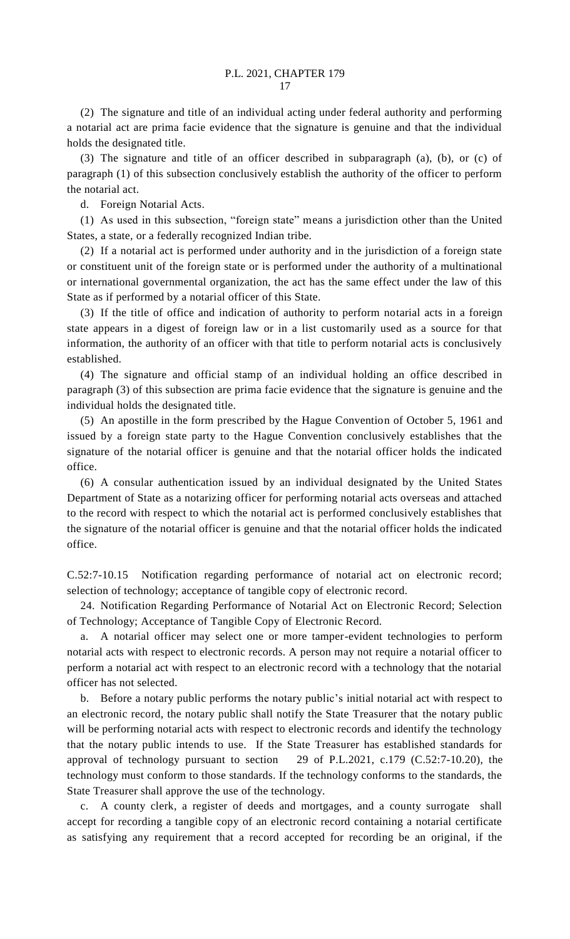(2) The signature and title of an individual acting under federal authority and performing a notarial act are prima facie evidence that the signature is genuine and that the individual holds the designated title.

(3) The signature and title of an officer described in subparagraph (a), (b), or (c) of paragraph (1) of this subsection conclusively establish the authority of the officer to perform the notarial act.

d. Foreign Notarial Acts.

(1) As used in this subsection, "foreign state" means a jurisdiction other than the United States, a state, or a federally recognized Indian tribe.

(2) If a notarial act is performed under authority and in the jurisdiction of a foreign state or constituent unit of the foreign state or is performed under the authority of a multinational or international governmental organization, the act has the same effect under the law of this State as if performed by a notarial officer of this State.

(3) If the title of office and indication of authority to perform notarial acts in a foreign state appears in a digest of foreign law or in a list customarily used as a source for that information, the authority of an officer with that title to perform notarial acts is conclusively established.

(4) The signature and official stamp of an individual holding an office described in paragraph (3) of this subsection are prima facie evidence that the signature is genuine and the individual holds the designated title.

(5) An apostille in the form prescribed by the Hague Convention of October 5, 1961 and issued by a foreign state party to the Hague Convention conclusively establishes that the signature of the notarial officer is genuine and that the notarial officer holds the indicated office.

(6) A consular authentication issued by an individual designated by the United States Department of State as a notarizing officer for performing notarial acts overseas and attached to the record with respect to which the notarial act is performed conclusively establishes that the signature of the notarial officer is genuine and that the notarial officer holds the indicated office.

C.52:7-10.15 Notification regarding performance of notarial act on electronic record; selection of technology; acceptance of tangible copy of electronic record.

24. Notification Regarding Performance of Notarial Act on Electronic Record; Selection of Technology; Acceptance of Tangible Copy of Electronic Record.

a. A notarial officer may select one or more tamper-evident technologies to perform notarial acts with respect to electronic records. A person may not require a notarial officer to perform a notarial act with respect to an electronic record with a technology that the notarial officer has not selected.

b. Before a notary public performs the notary public's initial notarial act with respect to an electronic record, the notary public shall notify the State Treasurer that the notary public will be performing notarial acts with respect to electronic records and identify the technology that the notary public intends to use. If the State Treasurer has established standards for approval of technology pursuant to section 29 of P.L.2021, c.179 (C.52:7-10.20), the technology must conform to those standards. If the technology conforms to the standards, the State Treasurer shall approve the use of the technology.

c. A county clerk, a register of deeds and mortgages, and a county surrogate shall accept for recording a tangible copy of an electronic record containing a notarial certificate as satisfying any requirement that a record accepted for recording be an original, if the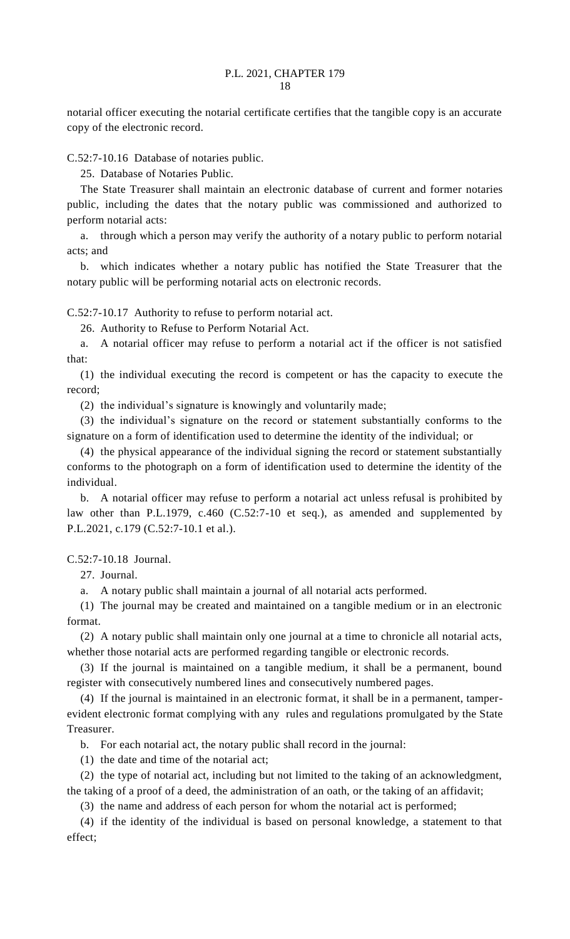notarial officer executing the notarial certificate certifies that the tangible copy is an accurate copy of the electronic record.

C.52:7-10.16 Database of notaries public.

25. Database of Notaries Public.

The State Treasurer shall maintain an electronic database of current and former notaries public, including the dates that the notary public was commissioned and authorized to perform notarial acts:

a. through which a person may verify the authority of a notary public to perform notarial acts; and

b. which indicates whether a notary public has notified the State Treasurer that the notary public will be performing notarial acts on electronic records.

C.52:7-10.17 Authority to refuse to perform notarial act.

26. Authority to Refuse to Perform Notarial Act.

a. A notarial officer may refuse to perform a notarial act if the officer is not satisfied that:

(1) the individual executing the record is competent or has the capacity to execute the record;

(2) the individual's signature is knowingly and voluntarily made;

(3) the individual's signature on the record or statement substantially conforms to the signature on a form of identification used to determine the identity of the individual; or

(4) the physical appearance of the individual signing the record or statement substantially conforms to the photograph on a form of identification used to determine the identity of the individual.

b. A notarial officer may refuse to perform a notarial act unless refusal is prohibited by law other than P.L.1979, c.460 (C.52:7-10 et seq.), as amended and supplemented by P.L.2021, c.179 (C.52:7-10.1 et al.).

C.52:7-10.18 Journal.

27. Journal.

a. A notary public shall maintain a journal of all notarial acts performed.

(1) The journal may be created and maintained on a tangible medium or in an electronic format.

(2) A notary public shall maintain only one journal at a time to chronicle all notarial acts, whether those notarial acts are performed regarding tangible or electronic records.

(3) If the journal is maintained on a tangible medium, it shall be a permanent, bound register with consecutively numbered lines and consecutively numbered pages.

(4) If the journal is maintained in an electronic format, it shall be in a permanent, tamperevident electronic format complying with any rules and regulations promulgated by the State Treasurer.

b. For each notarial act, the notary public shall record in the journal:

(1) the date and time of the notarial act;

(2) the type of notarial act, including but not limited to the taking of an acknowledgment, the taking of a proof of a deed, the administration of an oath, or the taking of an affidavit;

(3) the name and address of each person for whom the notarial act is performed;

(4) if the identity of the individual is based on personal knowledge, a statement to that effect;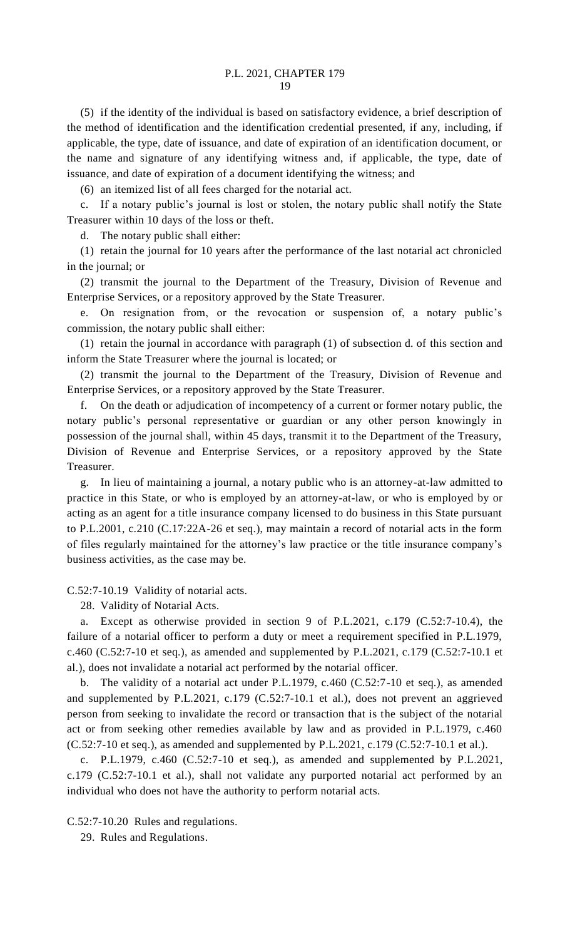(5) if the identity of the individual is based on satisfactory evidence, a brief description of the method of identification and the identification credential presented, if any, including, if applicable, the type, date of issuance, and date of expiration of an identification document, or the name and signature of any identifying witness and, if applicable, the type, date of issuance, and date of expiration of a document identifying the witness; and

(6) an itemized list of all fees charged for the notarial act.

c. If a notary public's journal is lost or stolen, the notary public shall notify the State Treasurer within 10 days of the loss or theft.

d. The notary public shall either:

(1) retain the journal for 10 years after the performance of the last notarial act chronicled in the journal; or

(2) transmit the journal to the Department of the Treasury, Division of Revenue and Enterprise Services, or a repository approved by the State Treasurer.

e. On resignation from, or the revocation or suspension of, a notary public's commission, the notary public shall either:

(1) retain the journal in accordance with paragraph (1) of subsection d. of this section and inform the State Treasurer where the journal is located; or

(2) transmit the journal to the Department of the Treasury, Division of Revenue and Enterprise Services, or a repository approved by the State Treasurer.

f. On the death or adjudication of incompetency of a current or former notary public, the notary public's personal representative or guardian or any other person knowingly in possession of the journal shall, within 45 days, transmit it to the Department of the Treasury, Division of Revenue and Enterprise Services, or a repository approved by the State Treasurer.

g. In lieu of maintaining a journal, a notary public who is an attorney-at-law admitted to practice in this State, or who is employed by an attorney-at-law, or who is employed by or acting as an agent for a title insurance company licensed to do business in this State pursuant to P.L.2001, c.210 (C.17:22A-26 et seq.), may maintain a record of notarial acts in the form of files regularly maintained for the attorney's law practice or the title insurance company's business activities, as the case may be.

C.52:7-10.19 Validity of notarial acts.

28. Validity of Notarial Acts.

a. Except as otherwise provided in section 9 of P.L.2021, c.179 (C.52:7-10.4), the failure of a notarial officer to perform a duty or meet a requirement specified in P.L.1979, c.460 (C.52:7-10 et seq.), as amended and supplemented by P.L.2021, c.179 (C.52:7-10.1 et al.), does not invalidate a notarial act performed by the notarial officer.

b. The validity of a notarial act under P.L.1979, c.460 (C.52:7-10 et seq.), as amended and supplemented by P.L.2021, c.179 (C.52:7-10.1 et al.), does not prevent an aggrieved person from seeking to invalidate the record or transaction that is the subject of the notarial act or from seeking other remedies available by law and as provided in P.L.1979, c.460 (C.52:7-10 et seq.), as amended and supplemented by P.L.2021, c.179 (C.52:7-10.1 et al.).

c. P.L.1979, c.460 (C.52:7-10 et seq.), as amended and supplemented by P.L.2021, c.179 (C.52:7-10.1 et al.), shall not validate any purported notarial act performed by an individual who does not have the authority to perform notarial acts.

C.52:7-10.20 Rules and regulations.

29. Rules and Regulations.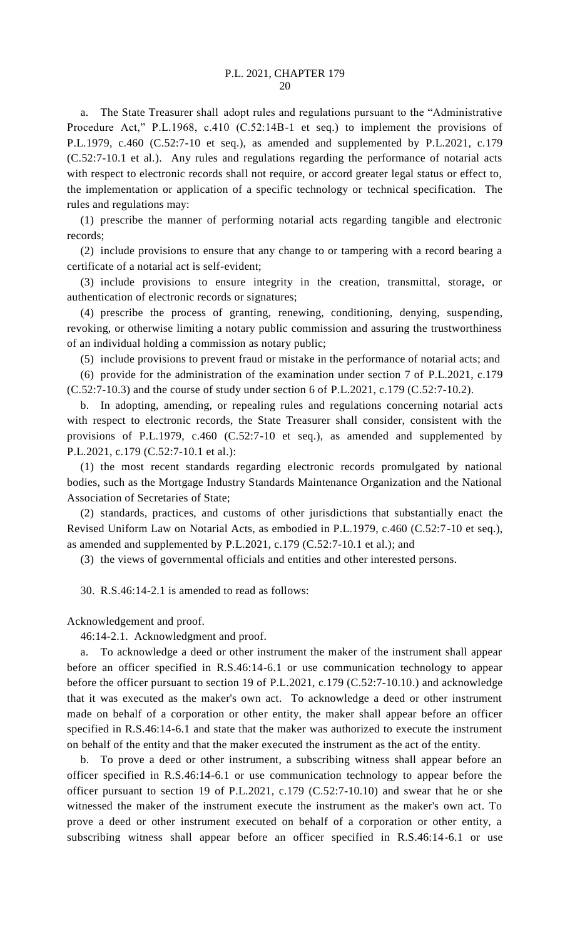a. The State Treasurer shall adopt rules and regulations pursuant to the "Administrative Procedure Act," P.L.1968, c.410 (C.52:14B-1 et seq.) to implement the provisions of P.L.1979, c.460 (C.52:7-10 et seq.), as amended and supplemented by P.L.2021, c.179 (C.52:7-10.1 et al.). Any rules and regulations regarding the performance of notarial acts with respect to electronic records shall not require, or accord greater legal status or effect to, the implementation or application of a specific technology or technical specification. The rules and regulations may:

(1) prescribe the manner of performing notarial acts regarding tangible and electronic records;

(2) include provisions to ensure that any change to or tampering with a record bearing a certificate of a notarial act is self-evident;

(3) include provisions to ensure integrity in the creation, transmittal, storage, or authentication of electronic records or signatures;

(4) prescribe the process of granting, renewing, conditioning, denying, suspending, revoking, or otherwise limiting a notary public commission and assuring the trustworthiness of an individual holding a commission as notary public;

(5) include provisions to prevent fraud or mistake in the performance of notarial acts; and

(6) provide for the administration of the examination under section 7 of P.L.2021, c.179 (C.52:7-10.3) and the course of study under section 6 of P.L.2021, c.179 (C.52:7-10.2).

b. In adopting, amending, or repealing rules and regulations concerning notarial acts with respect to electronic records, the State Treasurer shall consider, consistent with the provisions of P.L.1979, c.460 (C.52:7-10 et seq.), as amended and supplemented by P.L.2021, c.179 (C.52:7-10.1 et al.):

(1) the most recent standards regarding electronic records promulgated by national bodies, such as the Mortgage Industry Standards Maintenance Organization and the National Association of Secretaries of State;

(2) standards, practices, and customs of other jurisdictions that substantially enact the Revised Uniform Law on Notarial Acts, as embodied in P.L.1979, c.460 (C.52:7-10 et seq.), as amended and supplemented by P.L.2021, c.179 (C.52:7-10.1 et al.); and

(3) the views of governmental officials and entities and other interested persons.

30. R.S.46:14-2.1 is amended to read as follows:

Acknowledgement and proof.

46:14-2.1. Acknowledgment and proof.

a. To acknowledge a deed or other instrument the maker of the instrument shall appear before an officer specified in R.S.46:14-6.1 or use communication technology to appear before the officer pursuant to section 19 of P.L.2021, c.179 (C.52:7-10.10.) and acknowledge that it was executed as the maker's own act. To acknowledge a deed or other instrument made on behalf of a corporation or other entity, the maker shall appear before an officer specified in R.S.46:14-6.1 and state that the maker was authorized to execute the instrument on behalf of the entity and that the maker executed the instrument as the act of the entity.

b. To prove a deed or other instrument, a subscribing witness shall appear before an officer specified in R.S.46:14-6.1 or use communication technology to appear before the officer pursuant to section 19 of P.L.2021, c.179 (C.52:7-10.10) and swear that he or she witnessed the maker of the instrument execute the instrument as the maker's own act. To prove a deed or other instrument executed on behalf of a corporation or other entity, a subscribing witness shall appear before an officer specified in R.S.46:14-6.1 or use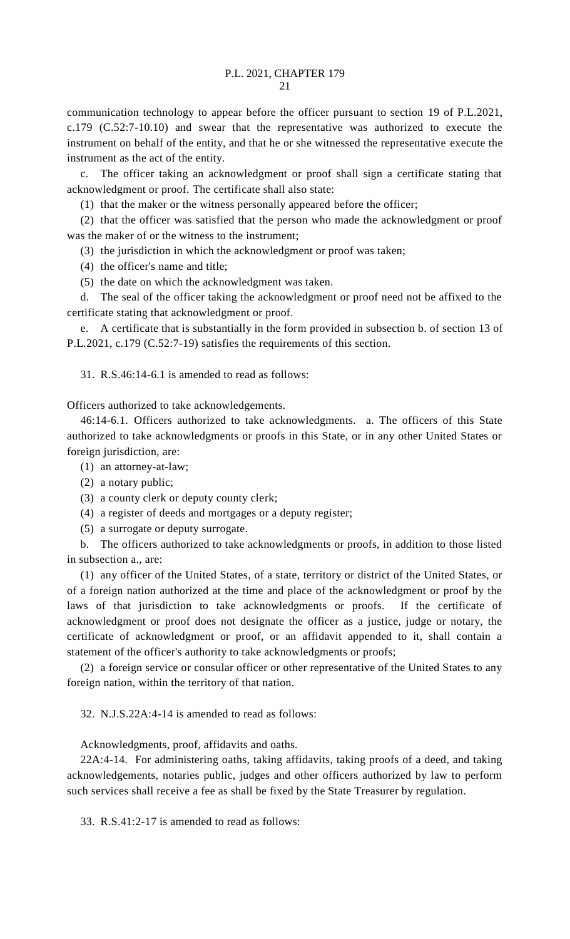communication technology to appear before the officer pursuant to section 19 of P.L.2021, c.179 (C.52:7-10.10) and swear that the representative was authorized to execute the instrument on behalf of the entity, and that he or she witnessed the representative execute the instrument as the act of the entity.

c. The officer taking an acknowledgment or proof shall sign a certificate stating that acknowledgment or proof. The certificate shall also state:

(1) that the maker or the witness personally appeared before the officer;

(2) that the officer was satisfied that the person who made the acknowledgment or proof was the maker of or the witness to the instrument;

(3) the jurisdiction in which the acknowledgment or proof was taken;

(4) the officer's name and title;

(5) the date on which the acknowledgment was taken.

d. The seal of the officer taking the acknowledgment or proof need not be affixed to the certificate stating that acknowledgment or proof.

e. A certificate that is substantially in the form provided in subsection b. of section 13 of P.L.2021, c.179 (C.52:7-19) satisfies the requirements of this section.

31. R.S.46:14-6.1 is amended to read as follows:

Officers authorized to take acknowledgements.

46:14-6.1. Officers authorized to take acknowledgments. a. The officers of this State authorized to take acknowledgments or proofs in this State, or in any other United States or foreign jurisdiction, are:

- (1) an attorney-at-law;
- (2) a notary public;
- (3) a county clerk or deputy county clerk;
- (4) a register of deeds and mortgages or a deputy register;
- (5) a surrogate or deputy surrogate.

b. The officers authorized to take acknowledgments or proofs, in addition to those listed in subsection a., are:

(1) any officer of the United States, of a state, territory or district of the United States, or of a foreign nation authorized at the time and place of the acknowledgment or proof by the laws of that jurisdiction to take acknowledgments or proofs. If the certificate of acknowledgment or proof does not designate the officer as a justice, judge or notary, the certificate of acknowledgment or proof, or an affidavit appended to it, shall contain a statement of the officer's authority to take acknowledgments or proofs;

(2) a foreign service or consular officer or other representative of the United States to any foreign nation, within the territory of that nation.

32. N.J.S.22A:4-14 is amended to read as follows:

Acknowledgments, proof, affidavits and oaths.

22A:4-14. For administering oaths, taking affidavits, taking proofs of a deed, and taking acknowledgements, notaries public, judges and other officers authorized by law to perform such services shall receive a fee as shall be fixed by the State Treasurer by regulation.

33. R.S.41:2-17 is amended to read as follows: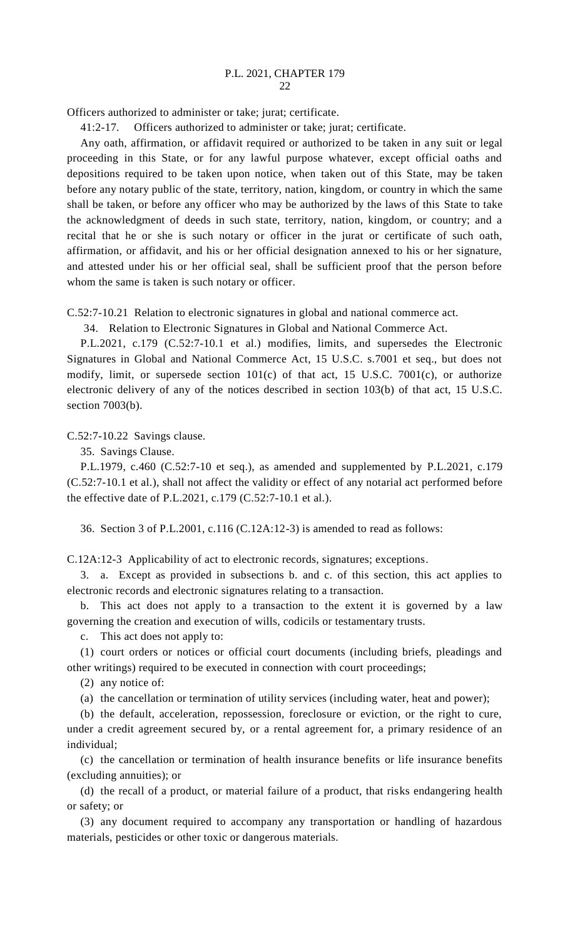Officers authorized to administer or take; jurat; certificate.

41:2-17. Officers authorized to administer or take; jurat; certificate.

Any oath, affirmation, or affidavit required or authorized to be taken in any suit or legal proceeding in this State, or for any lawful purpose whatever, except official oaths and depositions required to be taken upon notice, when taken out of this State, may be taken before any notary public of the state, territory, nation, kingdom, or country in which the same shall be taken, or before any officer who may be authorized by the laws of this State to take the acknowledgment of deeds in such state, territory, nation, kingdom, or country; and a recital that he or she is such notary or officer in the jurat or certificate of such oath, affirmation, or affidavit, and his or her official designation annexed to his or her signature, and attested under his or her official seal, shall be sufficient proof that the person before whom the same is taken is such notary or officer.

C.52:7-10.21 Relation to electronic signatures in global and national commerce act.

34. Relation to Electronic Signatures in Global and National Commerce Act.

P.L.2021, c.179 (C.52:7-10.1 et al.) modifies, limits, and supersedes the Electronic Signatures in Global and National Commerce Act, 15 U.S.C. s.7001 et seq., but does not modify, limit, or supersede section 101(c) of that act, 15 U.S.C. 7001(c), or authorize electronic delivery of any of the notices described in section 103(b) of that act, 15 U.S.C. section 7003(b).

C.52:7-10.22 Savings clause.

35. Savings Clause.

P.L.1979, c.460 (C.52:7-10 et seq.), as amended and supplemented by P.L.2021, c.179 (C.52:7-10.1 et al.), shall not affect the validity or effect of any notarial act performed before the effective date of P.L.2021, c.179 (C.52:7-10.1 et al.).

36. Section 3 of P.L.2001, c.116 (C.12A:12-3) is amended to read as follows:

C.12A:12-3 Applicability of act to electronic records, signatures; exceptions.

3. a. Except as provided in subsections b. and c. of this section, this act applies to electronic records and electronic signatures relating to a transaction.

b. This act does not apply to a transaction to the extent it is governed by a law governing the creation and execution of wills, codicils or testamentary trusts.

c. This act does not apply to:

(1) court orders or notices or official court documents (including briefs, pleadings and other writings) required to be executed in connection with court proceedings;

(2) any notice of:

(a) the cancellation or termination of utility services (including water, heat and power);

(b) the default, acceleration, repossession, foreclosure or eviction, or the right to cure, under a credit agreement secured by, or a rental agreement for, a primary residence of an individual;

(c) the cancellation or termination of health insurance benefits or life insurance benefits (excluding annuities); or

(d) the recall of a product, or material failure of a product, that risks endangering health or safety; or

(3) any document required to accompany any transportation or handling of hazardous materials, pesticides or other toxic or dangerous materials.